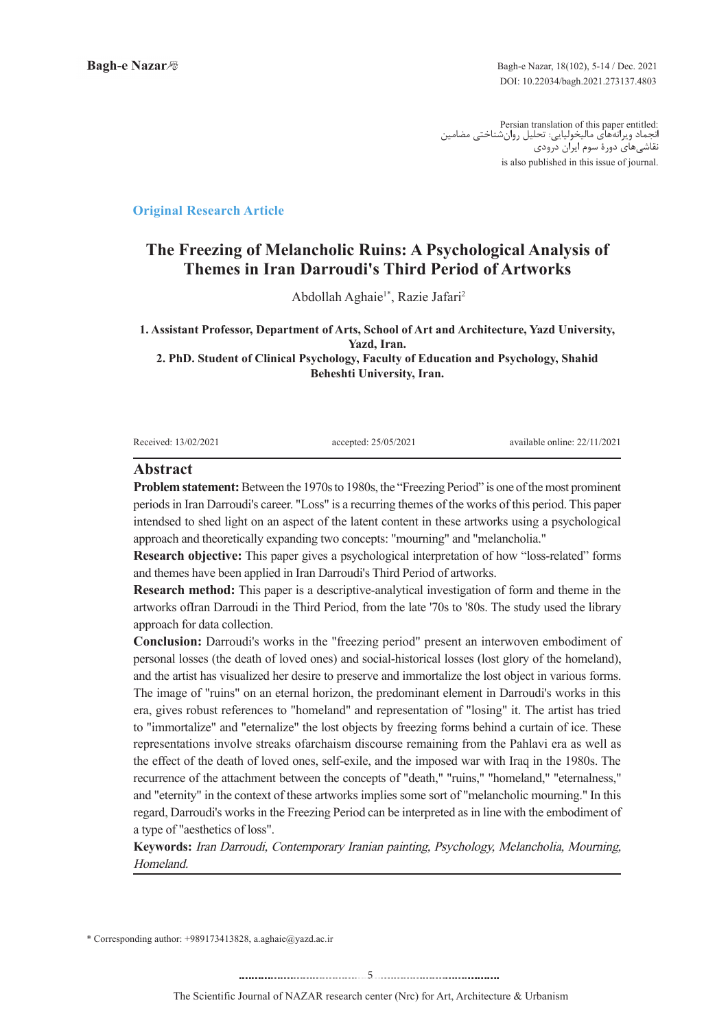:Persian translation of this paper entitled<br>نجماد ویرانههای مالیخولیایی: تحلیل روانشناختی مضامین نقاشیهای دورة سوم ایران درودی is also published in this issue of journal.

### **Article Research Article**

# **The Freezing of Melancholic Ruins: A Psychological Analysis of Themes in Iran Darroudi's Third Period of Artworks**

Abdollah Aghaie<sup>1\*</sup>, Razie Jafari<sup>2</sup>

1. Assistant Professor, Department of Arts, School of Art and Architecture, Yazd University, Yazd, Iran.

2. PhD. Student of Clinical Psychology, Faculty of Education and Psychology, Shahid **Beheshti University, Iran.** 

Received: 13/02/2021 : accepted: 25/05/2021 : accepted: 25/05/2021 : available online: 22/11/2021

#### **Abstract**

**Problem statement:** Between the 1970s to 1980s, the "Freezing Period" is one of the most prominent periods in Iran Darroudi's career. "Loss" is a recurring themes of the works of this period. This paper intendsed to shed light on an aspect of the latent content in these artworks using a psychological approach and theoretically expanding two concepts: "mourning" and "melancholia."

**Research objective:** This paper gives a psychological interpretation of how "loss-related" forms and themes have been applied in Iran Darroudi's Third Period of artworks.

**Research method:** This paper is a descriptive-analytical investigation of form and theme in the artworks of Iran Darroudi in the Third Period, from the late '70s to '80s. The study used the library approach for data collection.

**Conclusion:** Darroudi's works in the "freezing period" present an interwoven embodiment of personal losses (the death of loved ones) and social-historical losses (lost glory of the homeland), and the artist has visualized her desire to preserve and immortalize the lost object in various forms. The image of "ruins" on an eternal horizon, the predominant element in Darroudi's works in this era, gives robust references to "homeland" and representation of "losing" it. The artist has tried to "immortalize" and "eternalize" the lost objects by freezing forms behind a curtain of ice. These representations involve streaks of archaism discourse remaining from the Pahlavi era as well as the effect of the death of loved ones, self-exile, and the imposed war with Iraq in the 1980s. The recurrence of the attachment between the concepts of "death," "ruins," "homeland," "eternalness," and "eternity" in the context of these artworks implies some sort of "melancholic mourning." In this regard, Darroudi's works in the Freezing Period can be interpreted as in line with the embodiment of a type of "aesthetics of loss".

Keywords: Iran Darroudi, Contemporary Iranian painting, Psychology, Melancholia, Mourning, .Homeland

 $*$  Corresponding author: +989173413828, a.aghaie@yazd.ac.ir

.........................................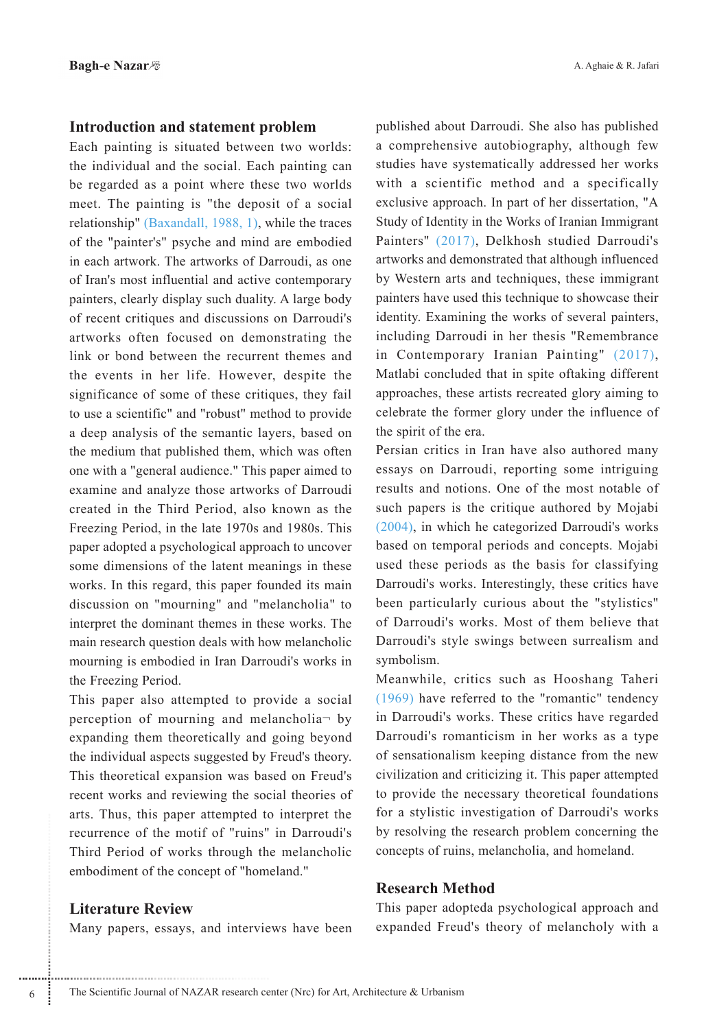## **Introduction and statement problem**

Each painting is situated between two worlds: the individual and the social. Each painting can be regarded as a point where these two worlds meet. The painting is "the deposit of a social relationship" (Baxandall, 1988, 1), while the traces of the "painter's" psyche and mind are embodied in each artwork. The artworks of Darroudi, as one of Iran's most influential and active contemporary painters, clearly display such duality. A large body of recent critiques and discussions on Darroudi's artworks often focused on demonstrating the link or bond between the recurrent themes and the events in her life. However, despite the significance of some of these critiques, they fail to use a scientific" and "robust" method to provide a deep analysis of the semantic layers, based on the medium that published them, which was often one with a "general audience." This paper aimed to examine and analyze those artworks of Darroudi created in the Third Period, also known as the Freezing Period, in the late 1970s and 1980s. This paper adopted a psychological approach to uncover some dimensions of the latent meanings in these works. In this regard, this paper founded its main discussion on "mourning" and "melancholia" to interpret the dominant themes in these works. The main research question deals with how melancholic mourning is embodied in Iran Darroudi's works in the Freezing Period.

This paper also attempted to provide a social perception of mourning and melancholia- by expanding them theoretically and going beyond the individual aspects suggested by Freud's theory. This theoretical expansion was based on Freud's recent works and reviewing the social theories of arts. Thus, this paper attempted to interpret the recurrence of the motif of "ruins" in Darroudi's Third Period of works through the melancholic embodiment of the concept of "homeland."

## **Literature Review**

Many papers, essays, and interviews have been

published about Darroudi. She also has published a comprehensive autobiography, although few studies have systematically addressed her works with a scientific method and a specifically exclusive approach. In part of her dissertation, "A Study of Identity in the Works of Iranian Immigrant Painters" (2017), Delkhosh studied Darroudi's artworks and demonstrated that although influenced by Western arts and techniques, these immigrant painters have used this technique to showcase their identity. Examining the works of several painters, including Darroudi in her thesis "Remembrance in Contemporary Iranian Painting" (2017), Matlabi concluded that in spite oftaking different approaches, these artists recreated glory aiming to celebrate the former glory under the influence of the spirit of the era.

Persian critics in Iran have also authored many essays on Darroudi, reporting some intriguing results and notions. One of the most notable of such papers is the critique authored by Mojabi (2004), in which he categorized Darroudi's works based on temporal periods and concepts. Mojabi used these periods as the basis for classifying Darroudi's works. Interestingly, these critics have been particularly curious about the "stylistics" of Darroudi's works. Most of them believe that Darroudi's style swings between surrealism and symbolism.

Meanwhile, critics such as Hooshang Taheri  $(1969)$  have referred to the "romantic" tendency in Darroudi's works. These critics have regarded Darroudi's romanticism in her works as a type of sensationalism keeping distance from the new civilization and criticizing it. This paper attempted to provide the necessary theoretical foundations for a stylistic investigation of Darroudi's works by resolving the research problem concerning the concepts of ruins, melancholia, and homeland.

## **Research Method**

This paper adopteda psychological approach and expanded Freud's theory of melancholy with a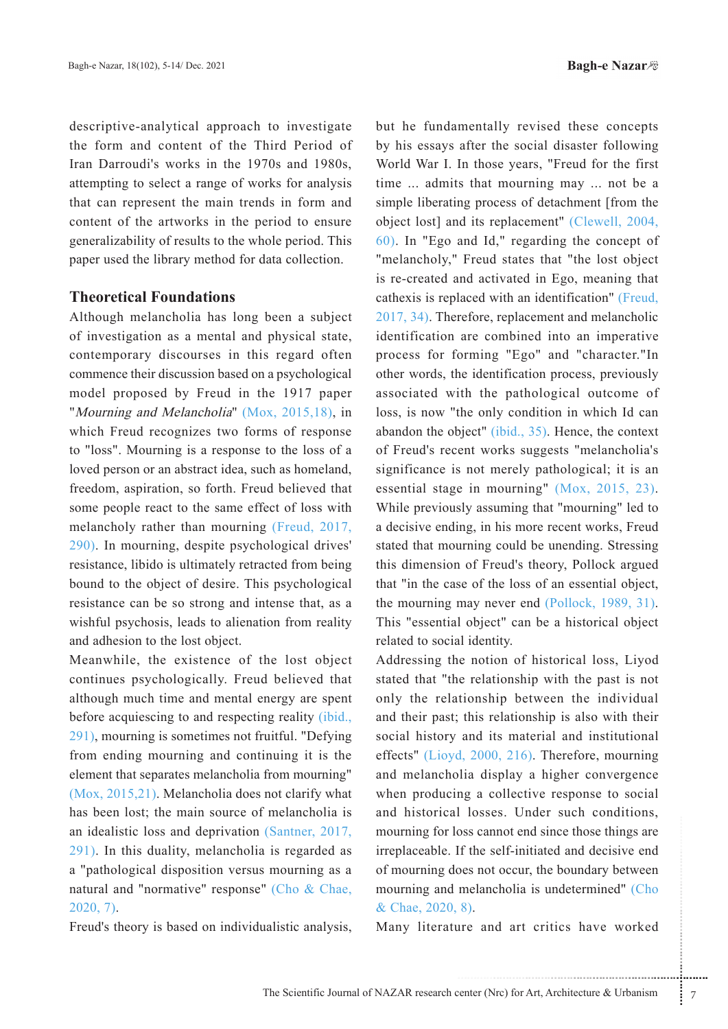descriptive-analytical approach to investigate the form and content of the Third Period of Iran Darroudi's works in the 1970s and 1980s, attempting to select a range of works for analysis that can represent the main trends in form and content of the artworks in the period to ensure generalizability of results to the whole period. This paper used the library method for data collection.

## **Theoretical Foundations**

Although melancholia has long been a subject of investigation as a mental and physical state, contemporary discourses in this regard often commence their discussion based on a psychological model proposed by Freud in the 1917 paper "Mourning and Melancholia" (Mox,  $2015,18$ ), in which Freud recognizes two forms of response to "loss". Mourning is a response to the loss of a loved person or an abstract idea, such as homeland, freedom, aspiration, so forth. Freud believed that some people react to the same effect of loss with melancholy rather than mourning (Freud, 2017,  $(290)$ . In mourning, despite psychological drives' resistance, libido is ultimately retracted from being bound to the object of desire. This psychological resistance can be so strong and intense that, as a wishful psychosis, leads to alienation from reality and adhesion to the lost object.

Meanwhile, the existence of the lost object continues psychologically. Freud believed that although much time and mental energy are spent before acquiescing to and respecting reality *(ibid., before acquiescing to and respecting reality (ibid.,*  $291$ , mourning is sometimes not fruitful. "Defying from ending mourning and continuing it is the element that separates melancholia from mourning"  $(Mox, 2015,21)$ . Melancholia does not clarify what has been lost; the main source of melancholia is an idealistic loss and deprivation  $(Santner, 2017, ...)$  $291$ ). In this duality, melancholia is regarded as a "pathological disposition versus mourning as a natural and "normative" response" (Cho & Chae,  $2020, 7$ ).

Freud's theory is based on individualistic analysis,

but he fundamentally revised these concepts by his essays after the social disaster following World War I. In those years, "Freud for the first time ... admits that mourning may ... not be a simple liberating process of detachment [from the object lost] and its replacement" (Clewell, 2004,  $(60)$ . In "Ego and Id," regarding the concept of "melancholy," Freud states that "the lost object is re-created and activated in Ego, meaning that cathexis is replaced with an identification" (Freud,  $2017, 34$ ). Therefore, replacement and melancholic identification are combined into an imperative process for forming "Ego" and "character."In other words, the identification process, previously associated with the pathological outcome of loss, is now "the only condition in which Id can abandon the object" (ibid.,  $35$ ). Hence, the context of Freud's recent works suggests "melancholia's significance is not merely pathological; it is an essential stage in mourning"  $(Mox, 2015, 23)$ . While previously assuming that "mourning" led to a decisive ending, in his more recent works, Freud stated that mourning could be unending. Stressing this dimension of Freud's theory, Pollock argued that "in the case of the loss of an essential object, the mourning may never end  $(Pollock, 1989, 31)$ . This "essential object" can be a historical object related to social identity.

boss cannot end since those things are<br>
if the self-initiated and decisive end<br>
bes not occur, the boundary between<br>
melancholia is undetermined" (Cho<br>
8).<br>
ure and art critics have worked<br>
enter (Nrc) for Art, Architectur Addressing the notion of historical loss, Livod stated that "the relationship with the past is not only the relationship between the individual and their past; this relationship is also with their social history and its material and institutional effects" (Lioyd,  $2000$ ,  $216$ ). Therefore, mourning and melancholia display a higher convergence when producing a collective response to social and historical losses. Under such conditions, mourning for loss cannot end since those things are irreplaceable. If the self-initiated and decisive end of mourning does not occur, the boundary between mourning and melancholia is undetermined" (Cho & Chae, 2020, 8).

Many literature and art critics have worked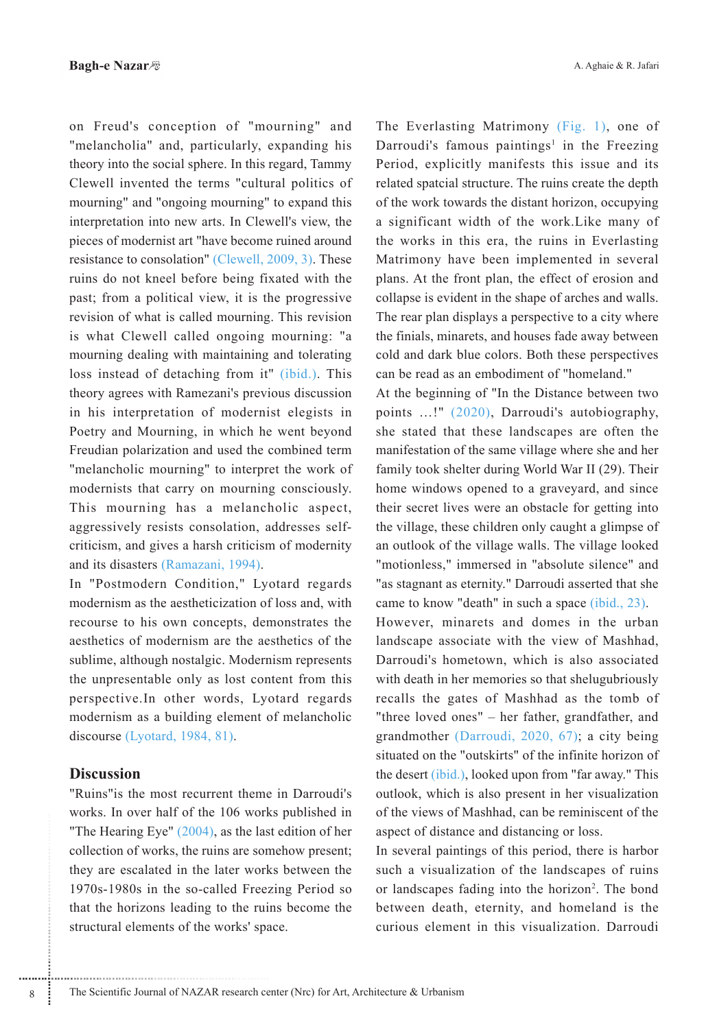on Freud's conception of "mourning" and "melancholia" and, particularly, expanding his theory into the social sphere. In this regard, Tammy Clewell invented the terms "cultural politics of mourning" and "ongoing mourning" to expand this interpretation into new arts. In Clewell's view, the pieces of modernist art "have become ruined around resistance to consolation" (Clewell, 2009, 3). These ruins do not kneel before being fixated with the past; from a political view, it is the progressive revision of what is called mourning. This revision is what Clewell called ongoing mourning: "a mourning dealing with maintaining and tolerating loss instead of detaching from it" (ibid.). This theory agrees with Ramezani's previous discussion in his interpretation of modernist elegists in Poetry and Mourning, in which he went beyond Freudian polarization and used the combined term "melancholic mourning" to interpret the work of modernists that carry on mourning consciously. This mourning has a melancholic aspect, aggressively resists consolation, addresses selfcriticism, and gives a harsh criticism of modernity and its disasters (Ramazani, 1994).

In "Postmodern Condition," Lyotard regards modernism as the aestheticization of loss and, with recourse to his own concepts, demonstrates the aesthetics of modernism are the aesthetics of the sublime, although nostalgic. Modernism represents the unpresentable only as lost content from this perspective. In other words, Lyotard regards modernism as a building element of melancholic discourse (Lyotard, 1984, 81).

## **Discussion**

"Ruins" is the most recurrent theme in Darroudi's works. In over half of the 106 works published in "The Hearing Eye"  $(2004)$ , as the last edition of her collection of works, the ruins are somehow present; they are escalated in the later works between the 1970s-1980s in the so-called Freezing Period so that the horizons leading to the ruins become the structural elements of the works' space.

The Everlasting Matrimony (Fig. 1), one of Darroudi's famous paintings<sup>1</sup> in the Freezing Period, explicitly manifests this issue and its related spatcial structure. The ruins create the depth of the work towards the distant horizon, occupying a significant width of the work. Like many of the works in this era, the ruins in Everlasting Matrimony have been implemented in several plans. At the front plan, the effect of erosion and collapse is evident in the shape of arches and walls. The rear plan displays a perspective to a city where the finials, minarets, and houses fade away between cold and dark blue colors. Both these perspectives can be read as an embodiment of "homeland."

At the beginning of "In the Distance between two points ...!" (2020), Darroudi's autobiography, she stated that these landscapes are often the manifestation of the same village where she and her family took shelter during World War II (29). Their home windows opened to a graveyard, and since their secret lives were an obstacle for getting into the village, these children only caught a glimpse of an outlook of the village walls. The village looked "motionless," immersed in "absolute silence" and "as stagnant as eternity." Darroudi asserted that she came to know "death" in such a space *(ibid., 23)*. However, minarets and domes in the urban landscape associate with the view of Mashhad. Darroudi's hometown, which is also associated with death in her memories so that shelugubriously recalls the gates of Mashhad as the tomb of "three loved ones" – her father, grandfather, and grandmother (Darroudi, 2020, 67); a city being situated on the "outskirts" of the infinite horizon of the desert *(ibid.)*, looked upon from "far away." This outlook, which is also present in her visualization of the views of Mashhad, can be reminiscent of the aspect of distance and distancing or loss.

In several paintings of this period, there is harbor such a visualization of the landscapes of ruins or landscapes fading into the horizon<sup>2</sup>. The bond between death, eternity, and homeland is the curious element in this visualization Darroudi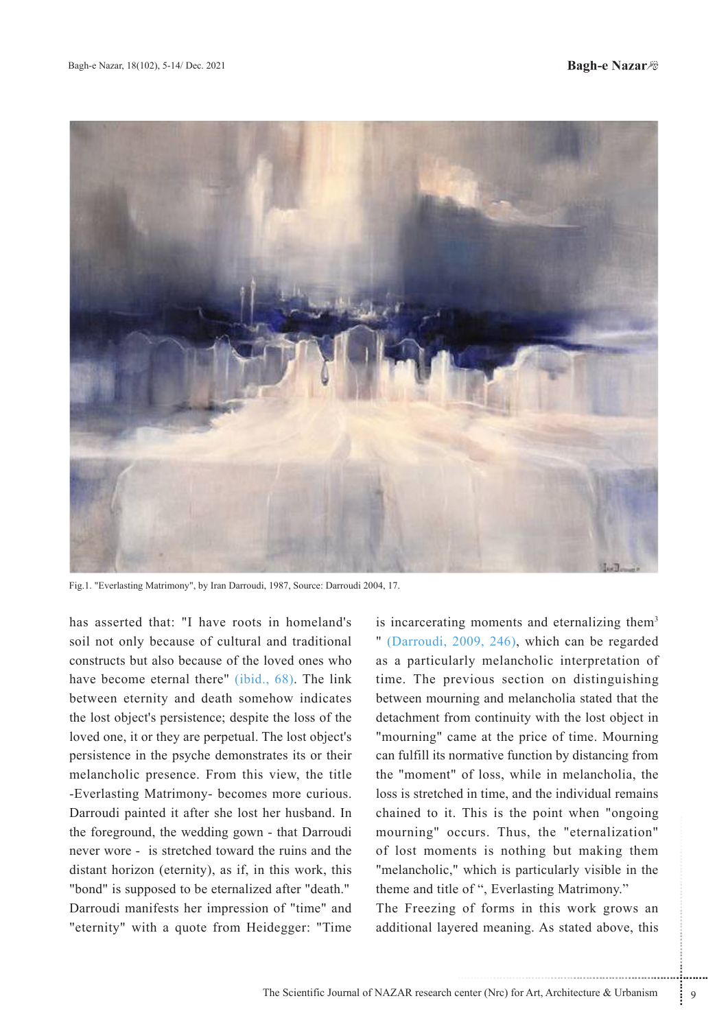

Fig.1. "Everlasting Matrimony", by Iran Darroudi, 1987, Source: Darroudi 2004, 17.

has asserted that: "I have roots in homeland's soil not only because of cultural and traditional constructs but also because of the loved ones who have become eternal there" (ibid., 68). The link between eternity and death somehow indicates the lost object's persistence; despite the loss of the loved one, it or they are perpetual. The lost object's persistence in the psyche demonstrates its or their melancholic presence. From this view, the title -Everlasting Matrimony- becomes more curious. Darroudi painted it after she lost her husband. In the foreground, the wedding gown - that Darroudi never wore - is stretched toward the ruins and the distant horizon (eternity), as if, in this work, this "bond" is supposed to be eternalized after "death." Darroudi manifests her impression of "time" and "eternity" with a quote from Heidegger: "Time"

is incarcerating moments and eternalizing them<sup>3</sup> " (Darroudi, 2009, 246), which can be regarded as a particularly melancholic interpretation of time. The previous section on distinguishing between mourning and melancholia stated that the detachment from continuity with the lost object in "mourning" came at the price of time. Mourning can fulfill its normative function by distancing from the "moment" of loss, while in melancholia, the loss is stretched in time, and the individual remains chained to it. This is the point when "ongoing mourning" occurs. Thus, the "eternalization" of lost moments is nothing but making them "melancholic," which is particularly visible in the theme and title of ", Everlasting Matrimony."

The Freezing of forms in this work grows an additional layered meaning. As stated above, this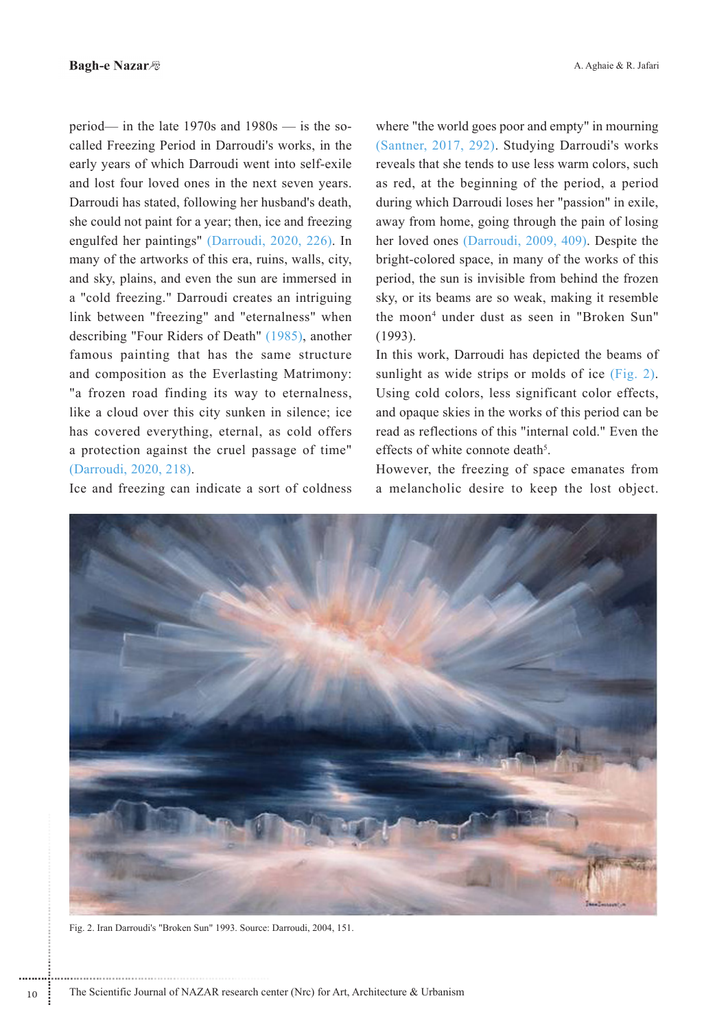period— in the late  $1970s$  and  $1980s$  — is the socalled Freezing Period in Darroudi's works, in the early years of which Darroudi went into self-exile and lost four loved ones in the next seven years. Darroudi has stated, following her husband's death, she could not paint for a year; then, ice and freezing engulfed her paintings" (Darroudi, 2020, 226). In many of the artworks of this era, ruins, walls, city, and sky, plains, and even the sun are immersed in a "cold freezing." Darroudi creates an intriguing link between "freezing" and "eternalness" when describing "Four Riders of Death" (1985), another famous painting that has the same structure and composition as the Everlasting Matrimony: "a frozen road finding its way to eternalness, like a cloud over this city sunken in silence; ice has covered everything, eternal, as cold offers a protection against the cruel passage of time" (Darroudi, 2020, 218).

Ice and freezing can indicate a sort of coldness

A. Aghaie & R. Jafari

where "the world goes poor and empty" in mourning (Santner, 2017, 292). Studying Darroudi's works reveals that she tends to use less warm colors, such as red, at the beginning of the period, a period during which Darroudi loses her "passion" in exile, away from home, going through the pain of losing her loved ones (Darroudi, 2009, 409). Despite the bright-colored space, in many of the works of this period, the sun is invisible from behind the frozen sky, or its beams are so weak, making it resemble the moon<sup>4</sup> under dust as seen in "Broken Sun"  $(1993)$ .

In this work, Darroudi has depicted the beams of sunlight as wide strips or molds of ice (Fig. 2). Using cold colors, less significant color effects, and opaque skies in the works of this period can be read as reflections of this "internal cold." Even the effects of white connote death<sup>5</sup>

However, the freezing of space emanates from a melancholic desire to keep the lost object.



Fig. 2. Iran Darroudi's "Broken Sun" 1993. Source: Darroudi, 2004, 151.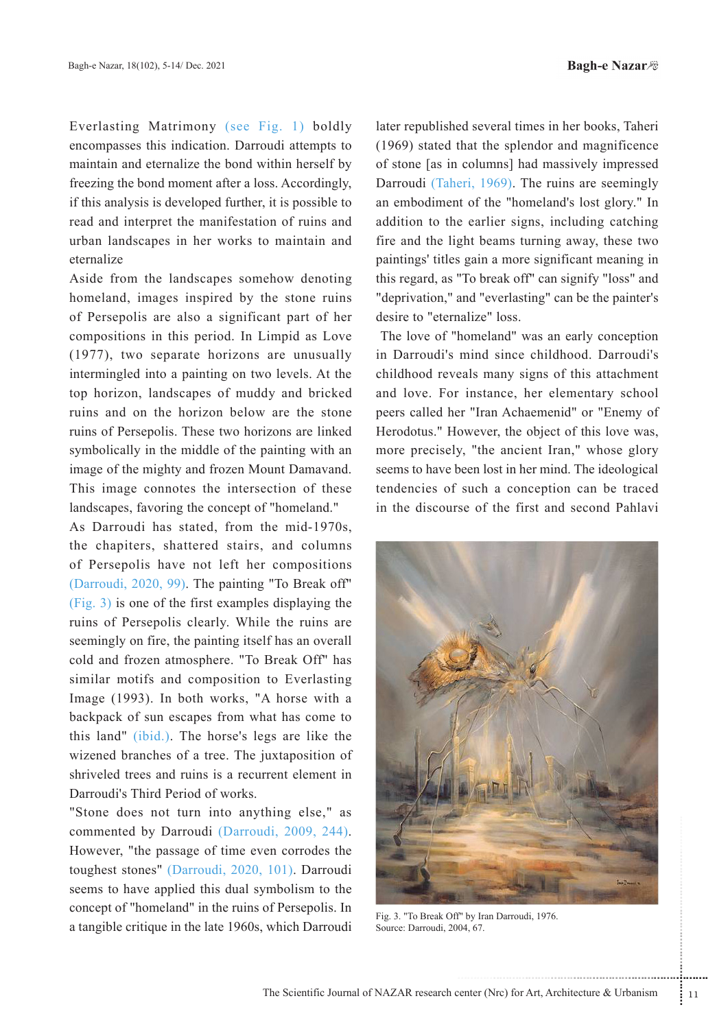Everlasting Matrimony (see Fig. 1) boldly encompasses this indication. Darroudi attempts to maintain and eternalize the bond within herself by freezing the bond moment after a loss. Accordingly, if this analysis is developed further, it is possible to read and interpret the manifestation of ruins and urban landscapes in her works to maintain and eternalize

Aside from the landscapes somehow denoting homeland, images inspired by the stone ruins of Persepolis are also a significant part of her compositions in this period. In Limpid as Love  $(1977)$ , two separate horizons are unusually intermingled into a painting on two levels. At the top horizon, landscapes of muddy and bricked ruins and on the horizon below are the stone ruins of Persepolis. These two horizons are linked symbolically in the middle of the painting with an image of the mighty and frozen Mount Damavand. This image connotes the intersection of these landscapes, favoring the concept of "homeland."

As Darroudi has stated, from the mid-1970s, the chapiters, shattered stairs, and columns of Persepolis have not left her compositions (Darroudi,  $2020$ , 99). The painting "To Break off"  $(fig. 3)$  is one of the first examples displaying the ruins of Persepolis clearly. While the ruins are seemingly on fire, the painting itself has an overall cold and frozen atmosphere. "To Break Off" has similar motifs and composition to Everlasting Image (1993). In both works, "A horse with a backpack of sun escapes from what has come to this land" *(ibid.)*. The horse's legs are like the wizened branches of a tree. The juxtaposition of shriveled trees and ruins is a recurrent element in Darroudi's Third Period of works.

"Stone does not turn into anything else," as commented by Darroudi (Darroudi, 2009, 244). However, "the passage of time even corrodes the toughest stones" (Darroudi, 2020, 101). Darroudi seems to have applied this dual symbolism to the concept of "homeland" in the ruins of Persepolis. In a tangible critique in the late 1960s, which Darroudi

later republished several times in her books, Taheri  $(1969)$  stated that the splendor and magnificence of stone [as in columns] had massively impressed Darroudi (Taheri, 1969). The ruins are seemingly an embodiment of the "homeland's lost glory." In addition to the earlier signs, including catching fire and the light beams turning away, these two paintings' titles gain a more significant meaning in this regard, as "To break off" can signify "loss" and " deprivation," and " everlasting" can be the painter's desire to "eternalize" loss.

The love of "homeland" was an early conception in Darroudi's mind since childhood. Darroudi's childhood reveals many signs of this attachment and love. For instance, her elementary school peers called her "Iran Achaemenid" or "Enemy of Herodotus." However, the object of this love was, more precisely, "the ancient Iran," whose glory seems to have been lost in her mind. The ideological tendencies of such a conception can be traced in the discourse of the first and second Pahlavi



Fig. 3. "To Break Off" by Iran Darroudi, 1976. Source: Darroudi, 2004, 67.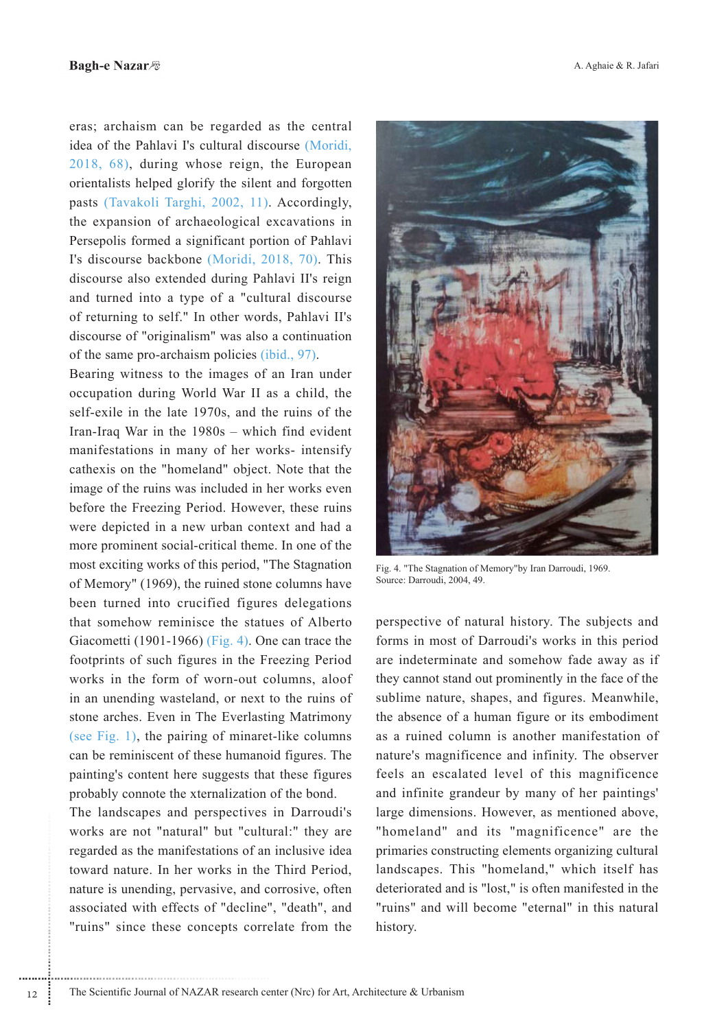eras; archaism can be regarded as the central idea of the Pahlavi I's cultural discourse (Moridi. 2018, 68), during whose reign, the European orientalists helped glorify the silent and forgotten pasts (Tavakoli Targhi, 2002, 11). Accordingly, the expansion of archaeological excavations in Persepolis formed a significant portion of Pahlavi I's discourse backbone (Moridi, 2018, 70). This discourse also extended during Pahlavi II's reign and turned into a type of a "cultural discourse" of returning to self." In other words, Pahlavi II's discourse of "originalism" was also a continuation of the same pro-archaism policies (ibid., 97).

Bearing witness to the images of an Iran under occupation during World War II as a child, the self-exile in the late 1970s, and the ruins of the Iran-Iraq War in the  $1980s$  – which find evident manifestations in many of her works- intensify cathexis on the "homeland" object. Note that the image of the ruins was included in her works even before the Freezing Period. However, these ruins were depicted in a new urban context and had a more prominent social-critical theme. In one of the most exciting works of this period, "The Stagnation" of Memory" (1969), the ruined stone columns have been turned into crucified figures delegations that somehow reminisce the statues of Alberto Giacometti (1901-1966) (Fig. 4). One can trace the footprints of such figures in the Freezing Period works in the form of worn-out columns, aloof in an unending wasteland, or next to the ruins of stone arches. Even in The Everlasting Matrimony (see Fig. 1), the pairing of minaret-like columns can be reminiscent of these humanoid figures. The painting's content here suggests that these figures probably connote the xternalization of the bond.

The landscapes and perspectives in Darroudi's works are not "natural" but "cultural:" they are regarded as the manifestations of an inclusive idea toward nature. In her works in the Third Period, nature is unending, pervasive, and corrosive, often associated with effects of "decline", "death", and "ruins" since these concepts correlate from the



Fig. 4. "The Stagnation of Memory"by Iran Darroudi, 1969. Source: Darroudi, 2004, 49.

perspective of natural history. The subjects and forms in most of Darroudi's works in this period are indeterminate and somehow fade away as if they cannot stand out prominently in the face of the sublime nature, shapes, and figures. Meanwhile, the absence of a human figure or its embodiment as a ruined column is another manifestation of nature's magnificence and infinity. The observer feels an escalated level of this magnificence and infinite grandeur by many of her paintings' large dimensions. However, as mentioned above. "homeland" and its "magnificence" are the primaries constructing elements organizing cultural landscapes. This "homeland," which itself has deteriorated and is "lost," is often manifested in the "ruins" and will become "eternal" in this natural history.

 $12$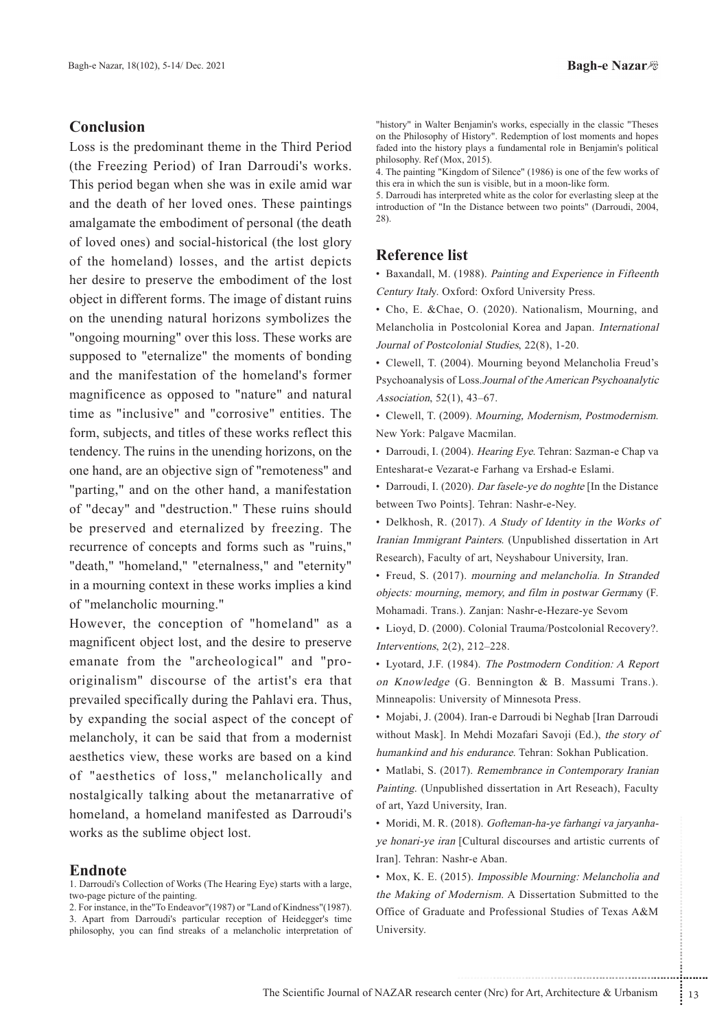## **Conclusion**

Loss is the predominant theme in the Third Period (the Freezing Period) of Iran Darroudi's works. This period began when she was in exile a mid war and the death of her loved ones. These paintings amalgamate the embodiment of personal (the death) of loved ones) and social-historical (the lost glory of the homeland) losses, and the artist depicts her desire to preserve the embodiment of the lost object in different forms. The image of distant ruins on the unending natural horizons symbolizes the "ongoing mourning" over this loss. These works are supposed to "eternalize" the moments of bonding and the manifestation of the homeland's former magnificence as opposed to "nature" and natural time as "inclusive" and "corrosive" entities. The form, subjects, and titles of these works reflect this tendency. The ruins in the unending horizons, on the one hand, are an objective sign of "remoteness" and "parting." and on the other hand, a manifestation of "decay" and "destruction." These ruins should be preserved and eternalized by freezing. The recurrence of concepts and forms such as "ruins," "death," "homeland," "eternalness," and "eternity" in a mourning context in these works implies a kind of "melancholic mourning."

However, the conception of "homeland" as a magnificent object lost, and the desire to preserve emanate from the "archeological" and "prooriginalism" discourse of the artist's era that prevailed specifically during the Pahlavi era. Thus, by expanding the social aspect of the concept of melancholy, it can be said that from a modernist aesthetics view, these works are based on a kind of "aesthetics of loss," melancholically and nostalgically talking about the metanarrative of homeland, a homeland manifested as Darroudi's works as the sublime object lost.

#### **Endnote**

1. Darroudi's Collection of Works (The Hearing Eye) starts with a large, two-page picture of the painting.

2. For instance, in the "To Endeavor" (1987) or "Land of Kindness" (1987). 3. Apart from Darroudi's particular reception of Heidegger's time philosophy, you can find streaks of a melancholic interpretation of "history" in Walter Benjamin's works, especially in the classic "Theses on the Philosophy of History". Redemption of lost moments and hopes faded into the history plays a fundamental role in Benjamin's political philosophy. Ref (Mox, 2015).

4. The painting "Kingdom of Silence" (1986) is one of the few works of this era in which the sun is visible, but in a moon-like form.

5. Darroudi has interpreted white as the color for everlasting sleep at the introduction of "In the Distance between two points" (Darroudi, 2004,  $28)$ .

## **Reference list**

• Baxandall, M. (1988). Painting and Experience in Fifteenth Century Italy. Oxford: Oxford University Press.

· Cho, E. &Chae, O. (2020). Nationalism, Mourning, and Melancholia in Postcolonial Korea and Japan. International Journal of Postcolonial Studies, 22(8), 1-20.

• Clewell, T. (2004). Mourning beyond Melancholia Freud's Psychoanalysis of Loss. Journal of the American Psychoanalytic Association, 52(1), 43-67.

· Clewell, T. (2009). Mourning, Modernism, Postmodernism. New York: Palgave Macmilan.

· Darroudi, I. (2004). Hearing Eye. Tehran: Sazman-e Chap va Entesharat-e Vezarat-e Farhang va Ershad-e Eslami.

• Darroudi, I. (2020). Dar fasele-ye do noghte [In the Distance between Two Points]. Tehran: Nashr-e-Ney.

• Delkhosh, R. (2017). A Study of Identity in the Works of Iranian Immigrant Painters. (Unpublished dissertation in Art Research), Faculty of art, Neyshabour University, Iran.

• Freud, S. (2017). mourning and melancholia. In Stranded objects: mourning, memory, and film in postwar Germany (F. Mohamadi. Trans.). Zanjan: Nashr-e-Hezare-ye Sevom

· Lioyd, D. (2000). Colonial Trauma/Postcolonial Recovery?. Interventions,  $2(2)$ ,  $212-228$ .

• Lyotard, J.F. (1984). The Postmodern Condition: A Report on Knowledge (G. Bennington & B. Massumi Trans.). Minneapolis: University of Minnesota Press.

· Mojabi, J. (2004). Iran-e Darroudi bi Neghab [Iran Darroudi without Mask]. In Mehdi Mozafari Savoji (Ed.), the story of humankind and his endurance. Tehran: Sokhan Publication.

• Matlabi, S. (2017). Remembrance in Contemporary Iranian Painting. (Unpublished dissertation in Art Reseach), Faculty of art, Yazd University, Iran.

· Moridi, M. R. (2018). Gofteman-ha-ye farhangi va jaryanhaye honari-ye iran [Cultural discourses and artistic currents of Iran]. Tehran: Nashr-e Aban.

• Mox, K. E. (2015). Impossible Mourning: Melancholia and the Making of Modernism. A Dissertation Submitted to the Office of Graduate and Professional Studies of Texas A&M University.